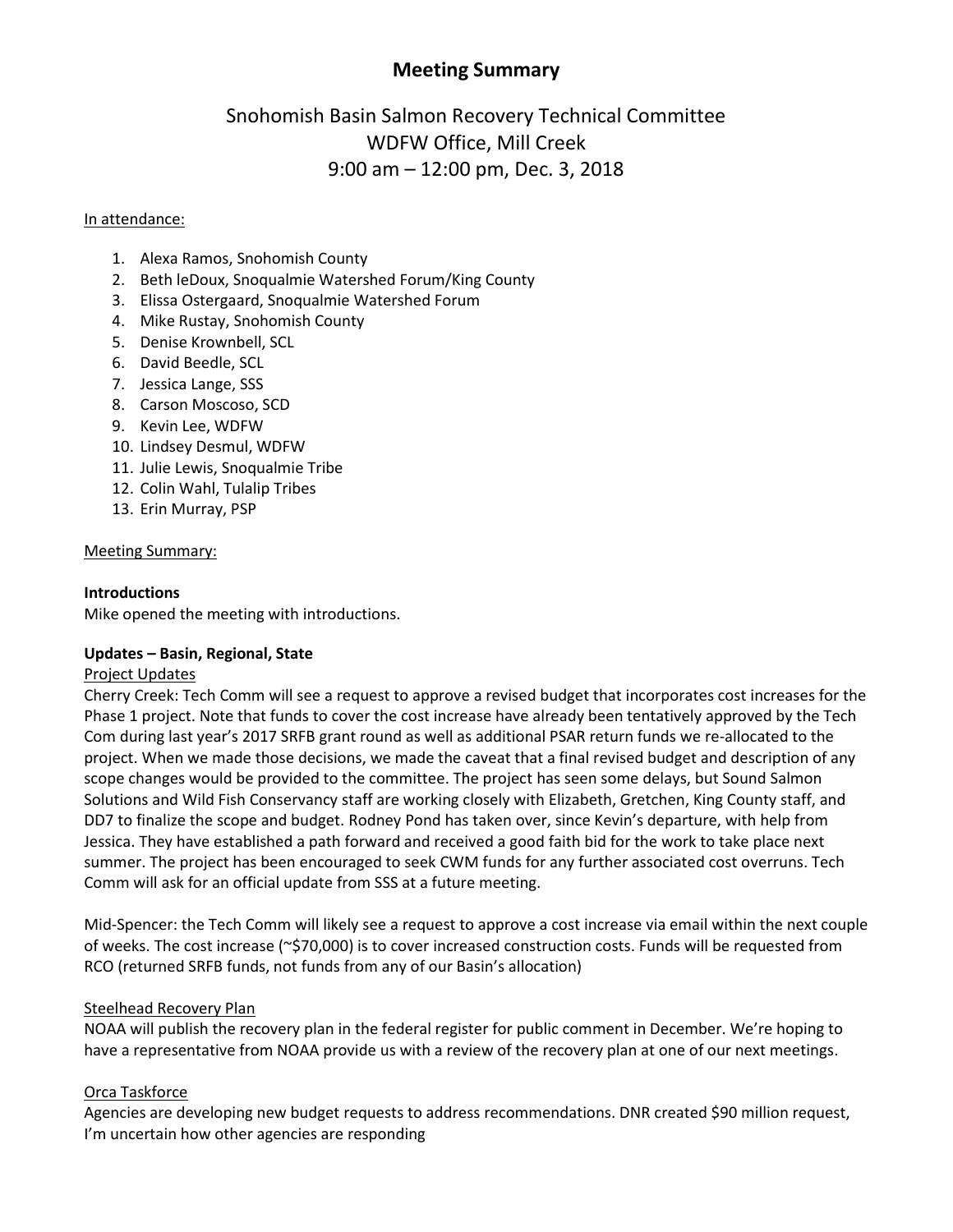# **Meeting Summary**

# Snohomish Basin Salmon Recovery Technical Committee WDFW Office, Mill Creek 9:00 am – 12:00 pm, Dec. 3, 2018

#### In attendance:

- 1. Alexa Ramos, Snohomish County
- 2. Beth leDoux, Snoqualmie Watershed Forum/King County
- 3. Elissa Ostergaard, Snoqualmie Watershed Forum
- 4. Mike Rustay, Snohomish County
- 5. Denise Krownbell, SCL
- 6. David Beedle, SCL
- 7. Jessica Lange, SSS
- 8. Carson Moscoso, SCD
- 9. Kevin Lee, WDFW
- 10. Lindsey Desmul, WDFW
- 11. Julie Lewis, Snoqualmie Tribe
- 12. Colin Wahl, Tulalip Tribes
- 13. Erin Murray, PSP

#### Meeting Summary:

#### **Introductions**

Mike opened the meeting with introductions.

#### **Updates – Basin, Regional, State**

#### Project Updates

Cherry Creek: Tech Comm will see a request to approve a revised budget that incorporates cost increases for the Phase 1 project. Note that funds to cover the cost increase have already been tentatively approved by the Tech Com during last year's 2017 SRFB grant round as well as additional PSAR return funds we re-allocated to the project. When we made those decisions, we made the caveat that a final revised budget and description of any scope changes would be provided to the committee. The project has seen some delays, but Sound Salmon Solutions and Wild Fish Conservancy staff are working closely with Elizabeth, Gretchen, King County staff, and DD7 to finalize the scope and budget. Rodney Pond has taken over, since Kevin's departure, with help from Jessica. They have established a path forward and received a good faith bid for the work to take place next summer. The project has been encouraged to seek CWM funds for any further associated cost overruns. Tech Comm will ask for an official update from SSS at a future meeting.

Mid-Spencer: the Tech Comm will likely see a request to approve a cost increase via email within the next couple of weeks. The cost increase (~\$70,000) is to cover increased construction costs. Funds will be requested from RCO (returned SRFB funds, not funds from any of our Basin's allocation)

#### Steelhead Recovery Plan

NOAA will publish the recovery plan in the federal register for public comment in December. We're hoping to have a representative from NOAA provide us with a review of the recovery plan at one of our next meetings.

#### Orca Taskforce

Agencies are developing new budget requests to address recommendations. DNR created \$90 million request, I'm uncertain how other agencies are responding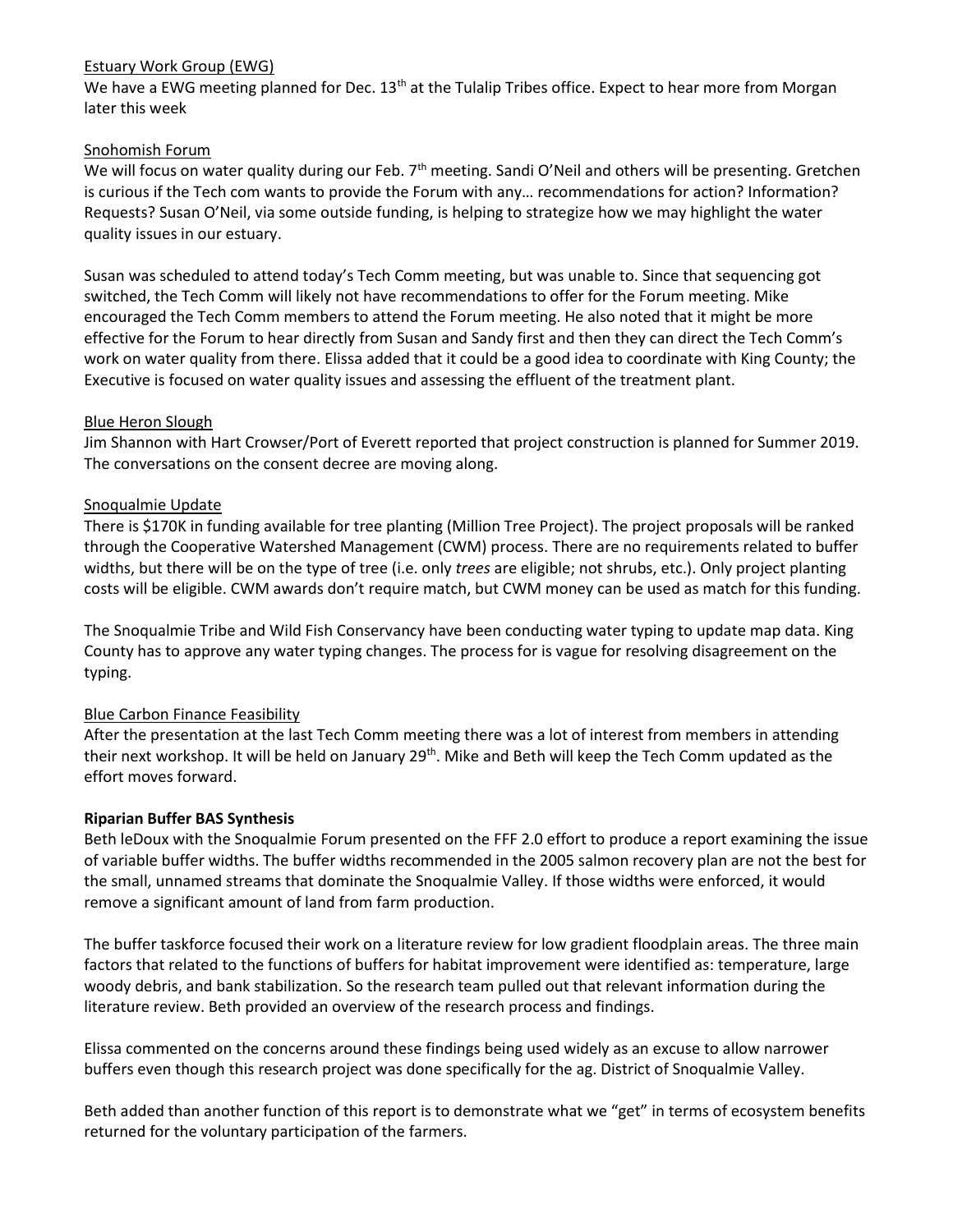#### Estuary Work Group (EWG)

We have a EWG meeting planned for Dec. 13<sup>th</sup> at the Tulalip Tribes office. Expect to hear more from Morgan later this week

### Snohomish Forum

We will focus on water quality during our Feb. 7<sup>th</sup> meeting. Sandi O'Neil and others will be presenting. Gretchen is curious if the Tech com wants to provide the Forum with any… recommendations for action? Information? Requests? Susan O'Neil, via some outside funding, is helping to strategize how we may highlight the water quality issues in our estuary.

Susan was scheduled to attend today's Tech Comm meeting, but was unable to. Since that sequencing got switched, the Tech Comm will likely not have recommendations to offer for the Forum meeting. Mike encouraged the Tech Comm members to attend the Forum meeting. He also noted that it might be more effective for the Forum to hear directly from Susan and Sandy first and then they can direct the Tech Comm's work on water quality from there. Elissa added that it could be a good idea to coordinate with King County; the Executive is focused on water quality issues and assessing the effluent of the treatment plant.

#### Blue Heron Slough

Jim Shannon with Hart Crowser/Port of Everett reported that project construction is planned for Summer 2019. The conversations on the consent decree are moving along.

#### Snoqualmie Update

There is \$170K in funding available for tree planting (Million Tree Project). The project proposals will be ranked through the Cooperative Watershed Management (CWM) process. There are no requirements related to buffer widths, but there will be on the type of tree (i.e. only *trees* are eligible; not shrubs, etc.). Only project planting costs will be eligible. CWM awards don't require match, but CWM money can be used as match for this funding.

The Snoqualmie Tribe and Wild Fish Conservancy have been conducting water typing to update map data. King County has to approve any water typing changes. The process for is vague for resolving disagreement on the typing.

# Blue Carbon Finance Feasibility

After the presentation at the last Tech Comm meeting there was a lot of interest from members in attending their next workshop. It will be held on January 29<sup>th</sup>. Mike and Beth will keep the Tech Comm updated as the effort moves forward.

#### **Riparian Buffer BAS Synthesis**

Beth leDoux with the Snoqualmie Forum presented on the FFF 2.0 effort to produce a report examining the issue of variable buffer widths. The buffer widths recommended in the 2005 salmon recovery plan are not the best for the small, unnamed streams that dominate the Snoqualmie Valley. If those widths were enforced, it would remove a significant amount of land from farm production.

The buffer taskforce focused their work on a literature review for low gradient floodplain areas. The three main factors that related to the functions of buffers for habitat improvement were identified as: temperature, large woody debris, and bank stabilization. So the research team pulled out that relevant information during the literature review. Beth provided an overview of the research process and findings.

Elissa commented on the concerns around these findings being used widely as an excuse to allow narrower buffers even though this research project was done specifically for the ag. District of Snoqualmie Valley.

Beth added than another function of this report is to demonstrate what we "get" in terms of ecosystem benefits returned for the voluntary participation of the farmers.